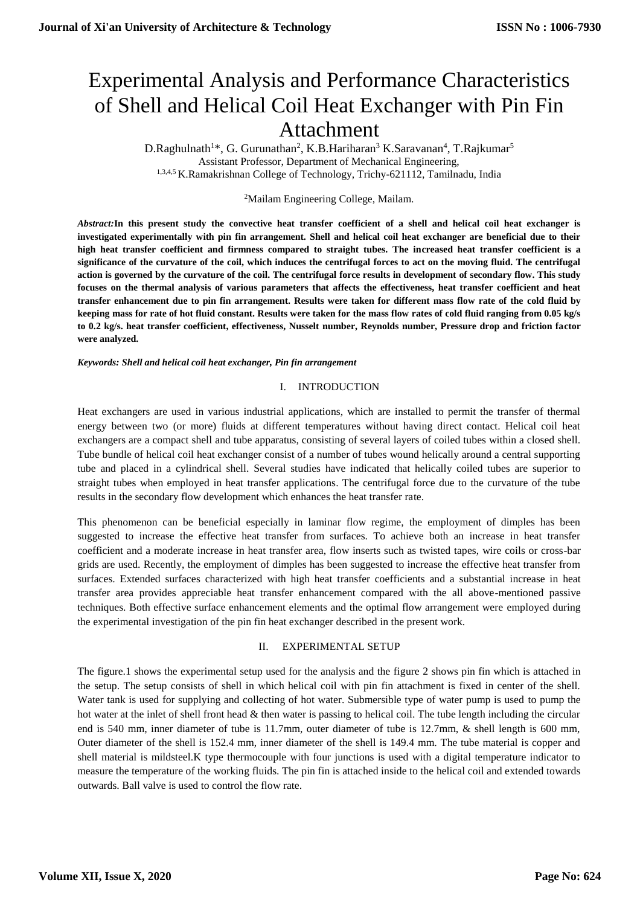# Experimental Analysis and Performance Characteristics of Shell and Helical Coil Heat Exchanger with Pin Fin Attachment

D.Raghulnath<sup>1</sup>\*, G. Gurunathan<sup>2</sup>, K.B.Hariharan<sup>3</sup> K.Saravanan<sup>4</sup>, T.Rajkumar<sup>5</sup> Assistant Professor, Department of Mechanical Engineering, 1,3,4,5 K.Ramakrishnan College of Technology, Trichy-621112, Tamilnadu, India

#### <sup>2</sup>Mailam Engineering College, Mailam.

*Abstract:***In this present study the convective heat transfer coefficient of a shell and helical coil heat exchanger is investigated experimentally with pin fin arrangement. Shell and helical coil heat exchanger are beneficial due to their high heat transfer coefficient and firmness compared to straight tubes. The increased heat transfer coefficient is a significance of the curvature of the coil, which induces the centrifugal forces to act on the moving fluid. The centrifugal action is governed by the curvature of the coil. The centrifugal force results in development of secondary flow. This study focuses on the thermal analysis of various parameters that affects the effectiveness, heat transfer coefficient and heat transfer enhancement due to pin fin arrangement. Results were taken for different mass flow rate of the cold fluid by keeping mass for rate of hot fluid constant. Results were taken for the mass flow rates of cold fluid ranging from 0.05 kg/s to 0.2 kg/s. heat transfer coefficient, effectiveness, Nusselt number, Reynolds number, Pressure drop and friction factor were analyzed.**

*Keywords: Shell and helical coil heat exchanger, Pin fin arrangement*

#### I. INTRODUCTION

Heat exchangers are used in various industrial applications, which are installed to permit the transfer of thermal energy between two (or more) fluids at different temperatures without having direct contact. Helical coil heat exchangers are a compact shell and tube apparatus, consisting of several layers of coiled tubes within a closed shell. Tube bundle of helical coil heat exchanger consist of a number of tubes wound helically around a central supporting tube and placed in a cylindrical shell. Several studies have indicated that helically coiled tubes are superior to straight tubes when employed in heat transfer applications. The centrifugal force due to the curvature of the tube results in the secondary flow development which enhances the heat transfer rate.

This phenomenon can be beneficial especially in laminar flow regime, the employment of dimples has been suggested to increase the effective heat transfer from surfaces. To achieve both an increase in heat transfer coefficient and a moderate increase in heat transfer area, flow inserts such as twisted tapes, wire coils or cross-bar grids are used. Recently, the employment of dimples has been suggested to increase the effective heat transfer from surfaces. Extended surfaces characterized with high heat transfer coefficients and a substantial increase in heat transfer area provides appreciable heat transfer enhancement compared with the all above-mentioned passive techniques. Both effective surface enhancement elements and the optimal flow arrangement were employed during the experimental investigation of the pin fin heat exchanger described in the present work.

#### II. EXPERIMENTAL SETUP

The figure.1 shows the experimental setup used for the analysis and the figure 2 shows pin fin which is attached in the setup. The setup consists of shell in which helical coil with pin fin attachment is fixed in center of the shell. Water tank is used for supplying and collecting of hot water. Submersible type of water pump is used to pump the hot water at the inlet of shell front head & then water is passing to helical coil. The tube length including the circular end is 540 mm, inner diameter of tube is 11.7mm, outer diameter of tube is 12.7mm, & shell length is 600 mm, Outer diameter of the shell is 152.4 mm, inner diameter of the shell is 149.4 mm. The tube material is copper and shell material is mildsteel.K type thermocouple with four junctions is used with a digital temperature indicator to measure the temperature of the working fluids. The pin fin is attached inside to the helical coil and extended towards outwards. Ball valve is used to control the flow rate.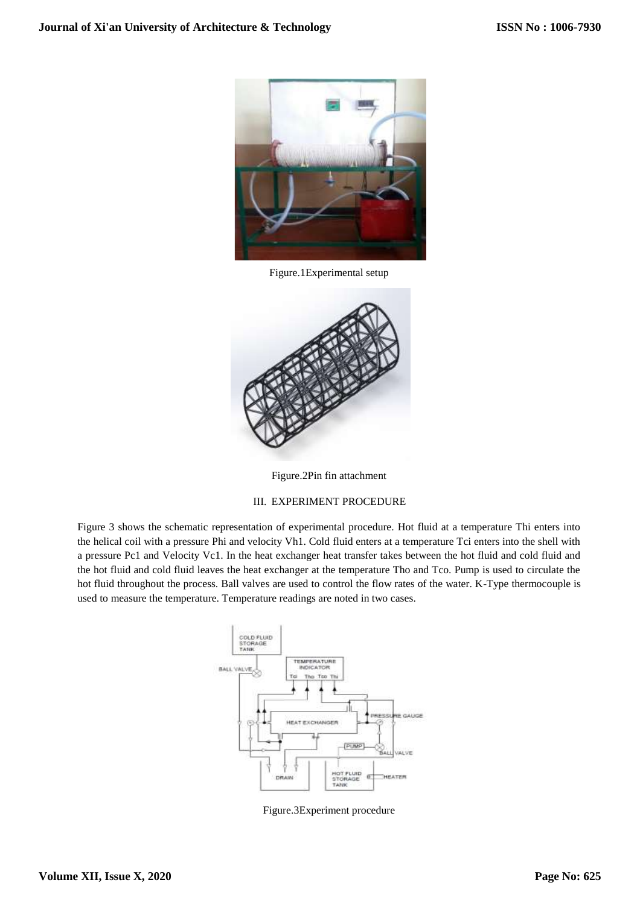

Figure.1Experimental setup



Figure.2Pin fin attachment

### III. EXPERIMENT PROCEDURE

Figure 3 shows the schematic representation of experimental procedure. Hot fluid at a temperature Thi enters into the helical coil with a pressure Phi and velocity Vh1. Cold fluid enters at a temperature Tci enters into the shell with a pressure Pc1 and Velocity Vc1. In the heat exchanger heat transfer takes between the hot fluid and cold fluid and the hot fluid and cold fluid leaves the heat exchanger at the temperature Tho and Tco. Pump is used to circulate the hot fluid throughout the process. Ball valves are used to control the flow rates of the water. K-Type thermocouple is used to measure the temperature. Temperature readings are noted in two cases.



Figure.3Experiment procedure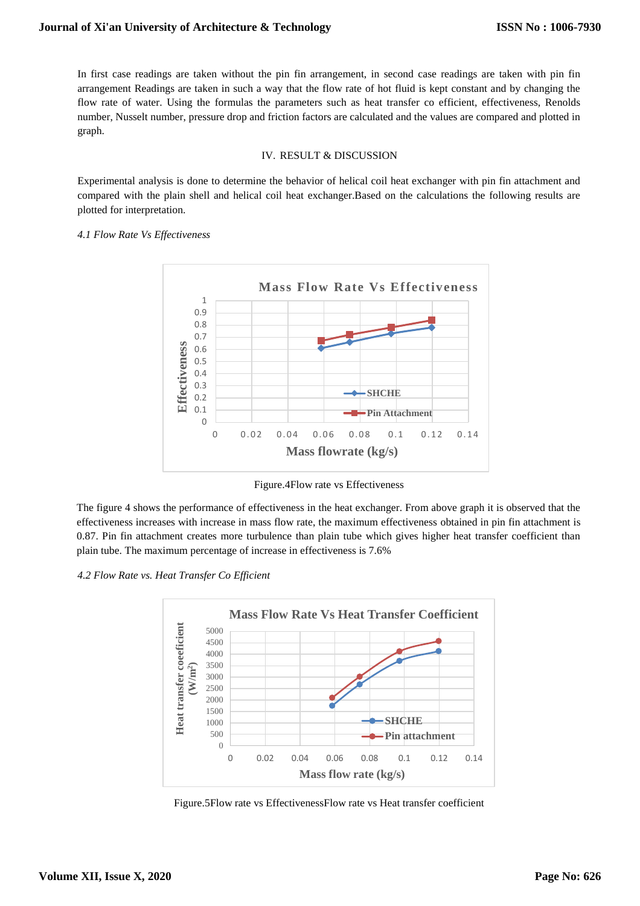In first case readings are taken without the pin fin arrangement, in second case readings are taken with pin fin arrangement Readings are taken in such a way that the flow rate of hot fluid is kept constant and by changing the flow rate of water. Using the formulas the parameters such as heat transfer co efficient, effectiveness, Renolds number, Nusselt number, pressure drop and friction factors are calculated and the values are compared and plotted in graph.

#### IV. RESULT & DISCUSSION

Experimental analysis is done to determine the behavior of helical coil heat exchanger with pin fin attachment and compared with the plain shell and helical coil heat exchanger.Based on the calculations the following results are plotted for interpretation.

#### *4.1 Flow Rate Vs Effectiveness*



Figure.4Flow rate vs Effectiveness

The figure 4 shows the performance of effectiveness in the heat exchanger. From above graph it is observed that the effectiveness increases with increase in mass flow rate, the maximum effectiveness obtained in pin fin attachment is 0.87. Pin fin attachment creates more turbulence than plain tube which gives higher heat transfer coefficient than plain tube. The maximum percentage of increase in effectiveness is 7.6%

*4.2 Flow Rate vs. Heat Transfer Co Efficient*



Figure.5Flow rate vs EffectivenessFlow rate vs Heat transfer coefficient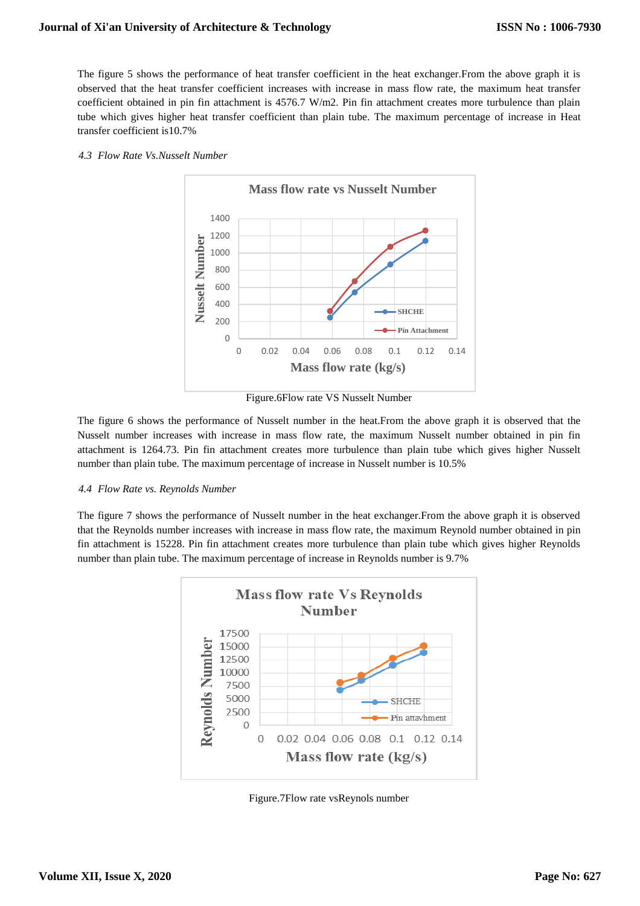The figure 5 shows the performance of heat transfer coefficient in the heat exchanger.From the above graph it is observed that the heat transfer coefficient increases with increase in mass flow rate, the maximum heat transfer coefficient obtained in pin fin attachment is 4576.7 W/m2. Pin fin attachment creates more turbulence than plain tube which gives higher heat transfer coefficient than plain tube. The maximum percentage of increase in Heat transfer coefficient is10.7%

#### *4.3 Flow Rate Vs.Nusselt Number*



Figure.6Flow rate VS Nusselt Number

The figure 6 shows the performance of Nusselt number in the heat.From the above graph it is observed that the Nusselt number increases with increase in mass flow rate, the maximum Nusselt number obtained in pin fin attachment is 1264.73. Pin fin attachment creates more turbulence than plain tube which gives higher Nusselt number than plain tube. The maximum percentage of increase in Nusselt number is 10.5%

#### *4.4 Flow Rate vs. Reynolds Number*

The figure 7 shows the performance of Nusselt number in the heat exchanger.From the above graph it is observed that the Reynolds number increases with increase in mass flow rate, the maximum Reynold number obtained in pin fin attachment is 15228. Pin fin attachment creates more turbulence than plain tube which gives higher Reynolds number than plain tube. The maximum percentage of increase in Reynolds number is 9.7%



Figure.7Flow rate vsReynols number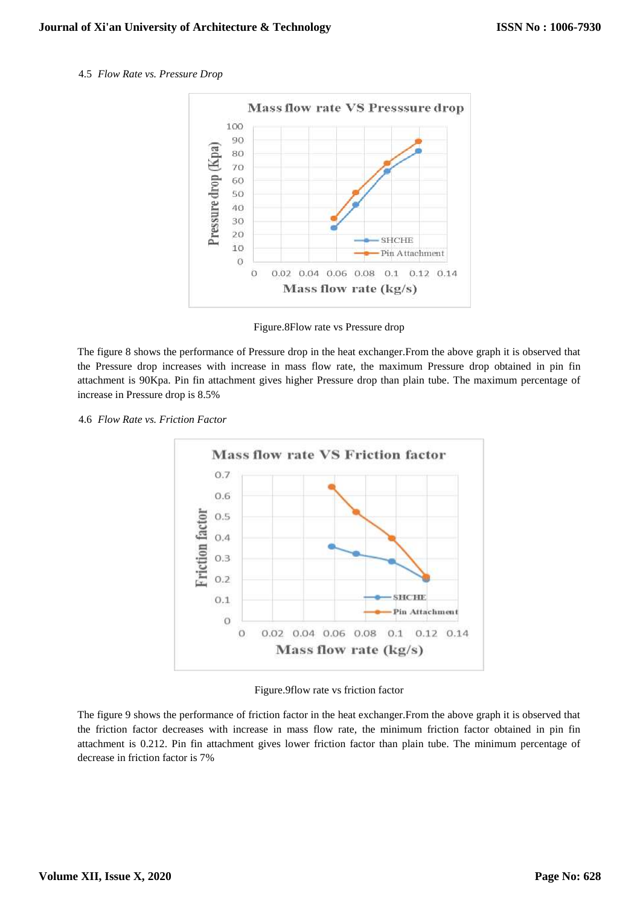4.5 *Flow Rate vs. Pressure Drop*



Figure.8Flow rate vs Pressure drop

The figure 8 shows the performance of Pressure drop in the heat exchanger.From the above graph it is observed that the Pressure drop increases with increase in mass flow rate, the maximum Pressure drop obtained in pin fin attachment is 90Kpa. Pin fin attachment gives higher Pressure drop than plain tube. The maximum percentage of increase in Pressure drop is 8.5%

4.6 *Flow Rate vs. Friction Factor*



Figure.9flow rate vs friction factor

The figure 9 shows the performance of friction factor in the heat exchanger.From the above graph it is observed that the friction factor decreases with increase in mass flow rate, the minimum friction factor obtained in pin fin attachment is 0.212. Pin fin attachment gives lower friction factor than plain tube. The minimum percentage of decrease in friction factor is 7%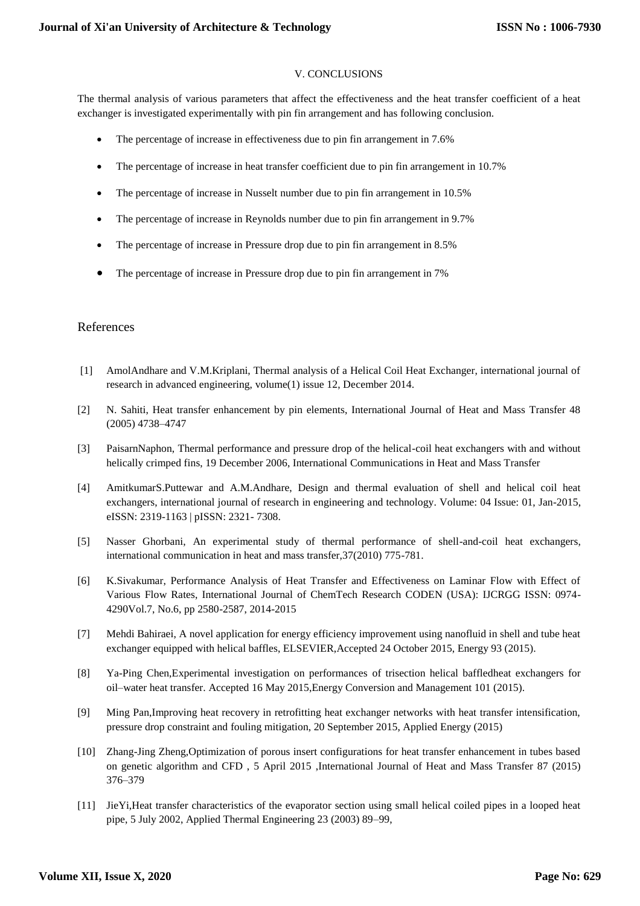# V. CONCLUSIONS

The thermal analysis of various parameters that affect the effectiveness and the heat transfer coefficient of a heat exchanger is investigated experimentally with pin fin arrangement and has following conclusion.

- The percentage of increase in effectiveness due to pin fin arrangement in 7.6%
- The percentage of increase in heat transfer coefficient due to pin fin arrangement in 10.7%
- The percentage of increase in Nusselt number due to pin fin arrangement in 10.5%
- The percentage of increase in Reynolds number due to pin fin arrangement in 9.7%
- The percentage of increase in Pressure drop due to pin fin arrangement in 8.5%
- The percentage of increase in Pressure drop due to pin fin arrangement in 7%

## References

- [1] AmolAndhare and V.M.Kriplani, Thermal analysis of a Helical Coil Heat Exchanger, international journal of research in advanced engineering, volume(1) issue 12, December 2014.
- [2] N. Sahiti, Heat transfer enhancement by pin elements, International Journal of Heat and Mass Transfer 48 (2005) 4738–4747
- [3] PaisarnNaphon, Thermal performance and pressure drop of the helical-coil heat exchangers with and without helically crimped fins, 19 December 2006, International Communications in Heat and Mass Transfer
- [4] AmitkumarS.Puttewar and A.M.Andhare, Design and thermal evaluation of shell and helical coil heat exchangers, international journal of research in engineering and technology. Volume: 04 Issue: 01, Jan-2015, eISSN: 2319-1163 | pISSN: 2321- 7308.
- [5] Nasser Ghorbani, An experimental study of thermal performance of shell-and-coil heat exchangers, international communication in heat and mass transfer,37(2010) 775-781.
- [6] K.Sivakumar, Performance Analysis of Heat Transfer and Effectiveness on Laminar Flow with Effect of Various Flow Rates, International Journal of ChemTech Research CODEN (USA): IJCRGG ISSN: 0974- 4290Vol.7, No.6, pp 2580-2587, 2014-2015
- [7] Mehdi Bahiraei, A novel application for energy efficiency improvement using nanofluid in shell and tube heat exchanger equipped with helical baffles, ELSEVIER,Accepted 24 October 2015, Energy 93 (2015).
- [8] Ya-Ping Chen,Experimental investigation on performances of trisection helical baffledheat exchangers for oil–water heat transfer. Accepted 16 May 2015,Energy Conversion and Management 101 (2015).
- [9] Ming Pan,Improving heat recovery in retrofitting heat exchanger networks with heat transfer intensification, pressure drop constraint and fouling mitigation, 20 September 2015, Applied Energy (2015)
- [10] Zhang-Jing Zheng,Optimization of porous insert configurations for heat transfer enhancement in tubes based on genetic algorithm and CFD , 5 April 2015 ,International Journal of Heat and Mass Transfer 87 (2015) 376–379
- [11] JieYi,Heat transfer characteristics of the evaporator section using small helical coiled pipes in a looped heat pipe, 5 July 2002, Applied Thermal Engineering 23 (2003) 89–99,